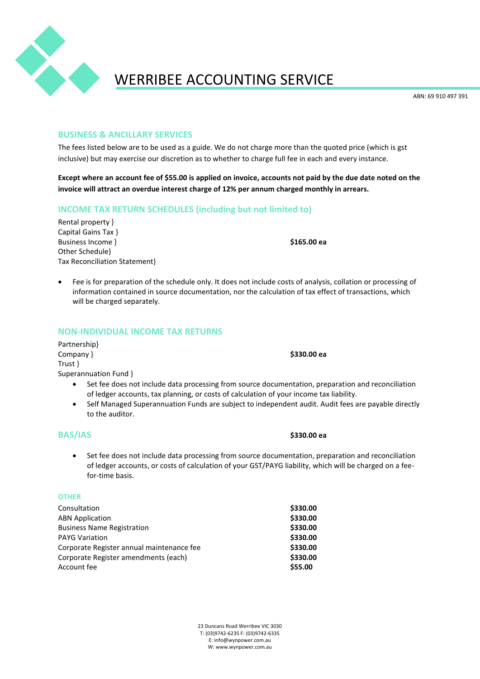

## WERRIBEE ACCOUNTING SERVICE

ABN: 69 910 497 391

#### **BUSINESS & ANCILLARY SERVICES**

The fees listed below are to be used as a guide. We do not charge more than the quoted price (which is gst inclusive) but may exercise our discretion as to whether to charge full fee in each and every instance.

**Except where an account fee of \$55.00 is applied on invoice, accounts not paid by the due date noted on the invoice will attract an overdue interest charge of 12% per annum charged monthly in arrears.**

#### **INCOME TAX RETURN SCHEDULES (including but not limited to)**

Rental property } Capital Gains Tax } Business Income } **\$165.00 ea** Other Schedule} Tax Reconciliation Statement}

• Fee is for preparation of the schedule only. It does not include costs of analysis, collation or processing of information contained in source documentation, nor the calculation of tax effect of transactions, which will be charged separately.

#### **NON-INDIVIDUAL INCOME TAX RETURNS**

Partnership} Company } **\$330.00 ea** Trust } Superannuation Fund }

- Set fee does not include data processing from source documentation, preparation and reconciliation of ledger accounts, tax planning, or costs of calculation of your income tax liability.
- Self Managed Superannuation Funds are subject to independent audit. Audit fees are payable directly to the auditor.

#### **BAS/IAS \$330.00 ea**

• Set fee does not include data processing from source documentation, preparation and reconciliation of ledger accounts, or costs of calculation of your GST/PAYG liability, which will be charged on a feefor-time basis.

#### **OTHER**

| Consultation                              | \$330.00 |
|-------------------------------------------|----------|
| <b>ABN Application</b>                    | \$330.00 |
| <b>Business Name Registration</b>         | \$330.00 |
| <b>PAYG Variation</b>                     | \$330.00 |
| Corporate Register annual maintenance fee | \$330.00 |
| Corporate Register amendments (each)      | \$330.00 |
| Account fee                               | \$55.00  |

23 Duncans Road Werribee VIC 3030 T: (03)9742-6235 F: (03)9742-6335 E: info@wynpower.com.au W: www.wynpower.com.au